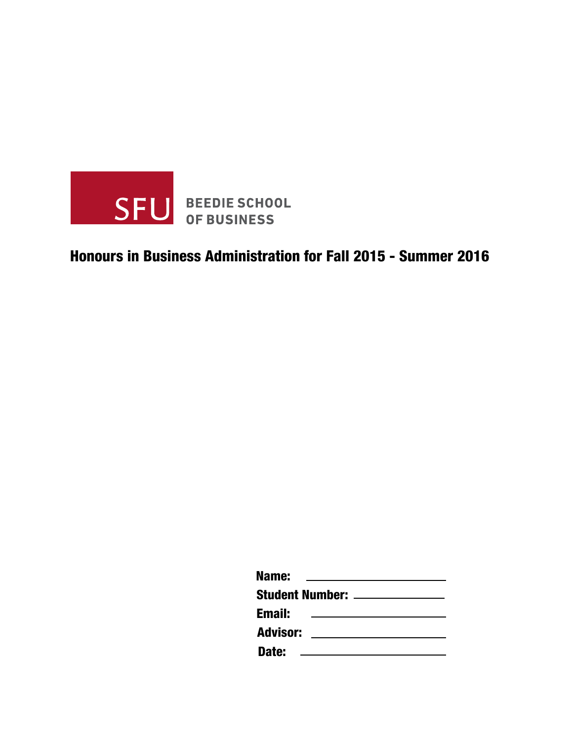

## Honours in Business Administration for Fall 2015 - Summer 2016

| Name:           |                                |  |
|-----------------|--------------------------------|--|
|                 | Student Number: ______________ |  |
| <b>Email:</b>   |                                |  |
| <b>Advisor:</b> |                                |  |
| Date:           |                                |  |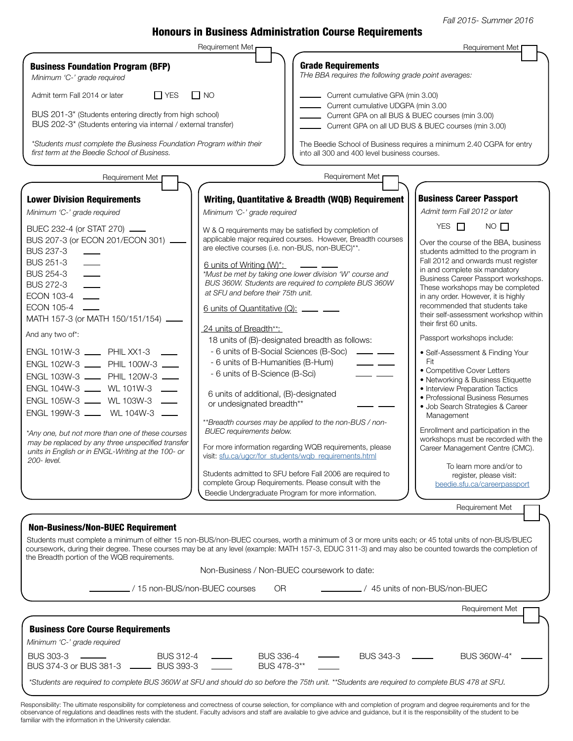Fall 2015- Summer 2016

## Honours in Business Administration Course Requirements

|                                                                                                                                                        | Requirement Met                                       |                                                                                                         | Requirement Met                                                                                  |
|--------------------------------------------------------------------------------------------------------------------------------------------------------|-------------------------------------------------------|---------------------------------------------------------------------------------------------------------|--------------------------------------------------------------------------------------------------|
| <b>Business Foundation Program (BFP)</b><br>Minimum 'C-' grade required                                                                                |                                                       | <b>Grade Requirements</b><br>THe BBA requires the following grade point averages:                       |                                                                                                  |
| $\Box$ YES<br>Admit term Fall 2014 or later                                                                                                            | $\Box$ NO                                             | Current cumulative GPA (min 3.00)                                                                       |                                                                                                  |
|                                                                                                                                                        |                                                       | Current cumulative UDGPA (min 3.00                                                                      |                                                                                                  |
| BUS 201-3* (Students entering directly from high school)<br>BUS 202-3* (Students entering via internal / external transfer)                            |                                                       | Current GPA on all BUS & BUEC courses (min 3.00)<br>Current GPA on all UD BUS & BUEC courses (min 3.00) |                                                                                                  |
| *Students must complete the Business Foundation Program within their<br>first term at the Beedie School of Business.                                   |                                                       | into all 300 and 400 level business courses.                                                            | The Beedie School of Business requires a minimum 2.40 CGPA for entry                             |
| Requirement Met                                                                                                                                        |                                                       | Requirement Met                                                                                         |                                                                                                  |
| <b>Lower Division Requirements</b>                                                                                                                     |                                                       | Writing, Quantitative & Breadth (WQB) Requirement                                                       | <b>Business Career Passport</b>                                                                  |
| Minimum 'C-' grade required                                                                                                                            | Minimum 'C-' grade required                           |                                                                                                         | Admit term Fall 2012 or later                                                                    |
|                                                                                                                                                        |                                                       |                                                                                                         | YES $\Box$<br>$NO$ $\Box$                                                                        |
| BUEC 232-4 (or STAT 270) ____<br>BUS 207-3 (or ECON 201/ECON 301) ____                                                                                 | W & Q requirements may be satisfied by completion of  | applicable major required courses. However, Breadth courses                                             |                                                                                                  |
| <b>BUS 237-3</b>                                                                                                                                       | are elective courses (i.e. non-BUS, non-BUEC)**.      |                                                                                                         | Over the course of the BBA, business<br>students admitted to the program in                      |
| <b>BUS 251-3</b>                                                                                                                                       | 6 units of Writing (W)*:                              |                                                                                                         | Fall 2012 and onwards must register                                                              |
| <b>BUS 254-3</b>                                                                                                                                       |                                                       | *Must be met by taking one lower division 'W' course and                                                | in and complete six mandatory<br>Business Career Passport workshops.                             |
| <b>BUS 272-3</b>                                                                                                                                       |                                                       | BUS 360W. Students are required to complete BUS 360W                                                    | These workshops may be completed                                                                 |
| ECON 103-4                                                                                                                                             | at SFU and before their 75th unit.                    |                                                                                                         | in any order. However, it is highly                                                              |
| <b>ECON 105-4</b><br>MATH 157-3 (or MATH 150/151/154).                                                                                                 | 6 units of Quantitative (Q): _____ ___                |                                                                                                         | recommended that students take<br>their self-assessment workshop within<br>their first 60 units. |
| And any two of*:                                                                                                                                       | 24 units of Breadth**:                                |                                                                                                         | Passport workshops include:                                                                      |
| ENGL 101W-3 _____ PHIL XX1-3 _                                                                                                                         | 18 units of (B)-designated breadth as follows:        | - 6 units of B-Social Sciences (B-Soc) ______ __                                                        |                                                                                                  |
| ENGL 102W-3 ____ PHIL 100W-3 ___                                                                                                                       | - 6 units of B-Humanities (B-Hum)                     | — —                                                                                                     | • Self-Assessment & Finding Your<br>Fit                                                          |
| ENGL 103W-3 ____ PHIL 120W-3 ___                                                                                                                       | - 6 units of B-Science (B-Sci)                        |                                                                                                         | • Competitive Cover Letters                                                                      |
| ENGL 104W-3 ____ WL 101W-3 ___                                                                                                                         |                                                       |                                                                                                         | • Networking & Business Etiquette<br>• Interview Preparation Tactics                             |
| ENGL 105W-3 ____ WL 103W-3 _                                                                                                                           | 6 units of additional, (B)-designated                 |                                                                                                         | • Professional Business Resumes                                                                  |
| ENGL 199W-3 _____ WL 104W-3 _                                                                                                                          | or undesignated breadth**                             |                                                                                                         | · Job Search Strategies & Career                                                                 |
|                                                                                                                                                        |                                                       | **Breadth courses may be applied to the non-BUS / non-                                                  | Management                                                                                       |
| *Any one, but not more than one of these courses                                                                                                       | <b>BUEC</b> requirements below.                       |                                                                                                         | Enrollment and participation in the                                                              |
| may be replaced by any three unspecified transfer                                                                                                      |                                                       | For more information regarding WQB requirements, please                                                 | workshops must be recorded with the<br>Career Management Centre (CMC).                           |
| units in English or in ENGL-Writing at the 100- or<br>200-level.                                                                                       | visit: sfu.ca/ugcr/for_students/wgb_requirements.html |                                                                                                         |                                                                                                  |
|                                                                                                                                                        |                                                       | Students admitted to SFU before Fall 2006 are required to                                               | To learn more and/or to<br>register, please visit:                                               |
|                                                                                                                                                        |                                                       | complete Group Requirements. Please consult with the                                                    | beedie.sfu.ca/careerpassport                                                                     |
|                                                                                                                                                        | Beedie Undergraduate Program for more information.    |                                                                                                         |                                                                                                  |
|                                                                                                                                                        |                                                       |                                                                                                         | Requirement Met                                                                                  |
| <b>Non-Business/Non-BUEC Requirement</b>                                                                                                               |                                                       |                                                                                                         |                                                                                                  |
| Students must complete a minimum of either 15 non-BUS/non-BUEC courses, worth a minimum of 3 or more units each; or 45 total units of non-BUS/BUEC     |                                                       |                                                                                                         |                                                                                                  |
| coursework, during their degree. These courses may be at any level (example: MATH 157-3, EDUC 311-3) and may also be counted towards the completion of |                                                       |                                                                                                         |                                                                                                  |
| the Breadth portion of the WQB requirements.                                                                                                           |                                                       |                                                                                                         |                                                                                                  |
|                                                                                                                                                        | Non-Business / Non-BUEC coursework to date:           |                                                                                                         |                                                                                                  |
| / 15 non-BUS/non-BUEC courses                                                                                                                          | OR.                                                   |                                                                                                         | ./ 45 units of non-BUS/non-BUEC                                                                  |
|                                                                                                                                                        |                                                       |                                                                                                         | Requirement Met                                                                                  |
|                                                                                                                                                        |                                                       |                                                                                                         |                                                                                                  |
| <b>Business Core Course Requirements</b>                                                                                                               |                                                       |                                                                                                         |                                                                                                  |
| Minimum 'C-' grade required                                                                                                                            |                                                       |                                                                                                         |                                                                                                  |
| <b>BUS 303-3</b><br><b>BUS 312-4</b><br>BUS 374-3 or BUS 381-3 -<br><b>BUS 393-3</b>                                                                   | <b>BUS 336-4</b><br>BUS 478-3**                       | BUS 343-3                                                                                               | BUS 360W-4*                                                                                      |

\*Students are required to complete BUS 360W at SFU and should do so before the 75th unit. \*\*Students are required to complete BUS 478 at SFU.

Responsibility: The ultimate responsibility for completeness and correctness of course selection, for compliance with and completion of program and degree requirements and for the observance of regulations and deadlines rests with the student. Faculty advisors and staff are available to give advice and guidance, but it is the responsibility of the student to be familiar with the information in the University calendar.